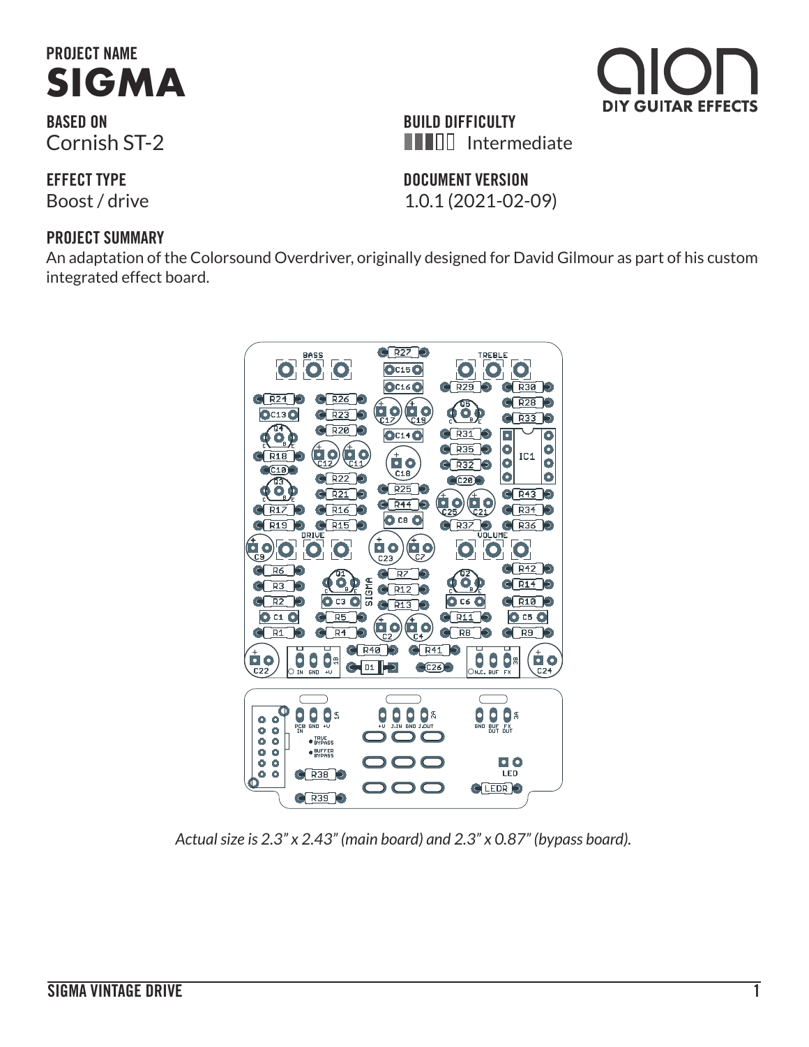# **PROJECT NAME SIGMA**

**BASED ON** Cornish ST-2

**EFFECT TYPE**

#### **PROJECT SUMMARY**

An adaptation of the Colorsound Overdriver, originally designed for David Gilmour as part of his custom integrated effect board.



*Actual size is 2.3" x 2.43" (main board) and 2.3" x 0.87" (bypass board).*



DIY GUITAR EFFECTS

#### **DOCUMENT VERSION**

Boost / drive 1.0.1 (2021-02-09)

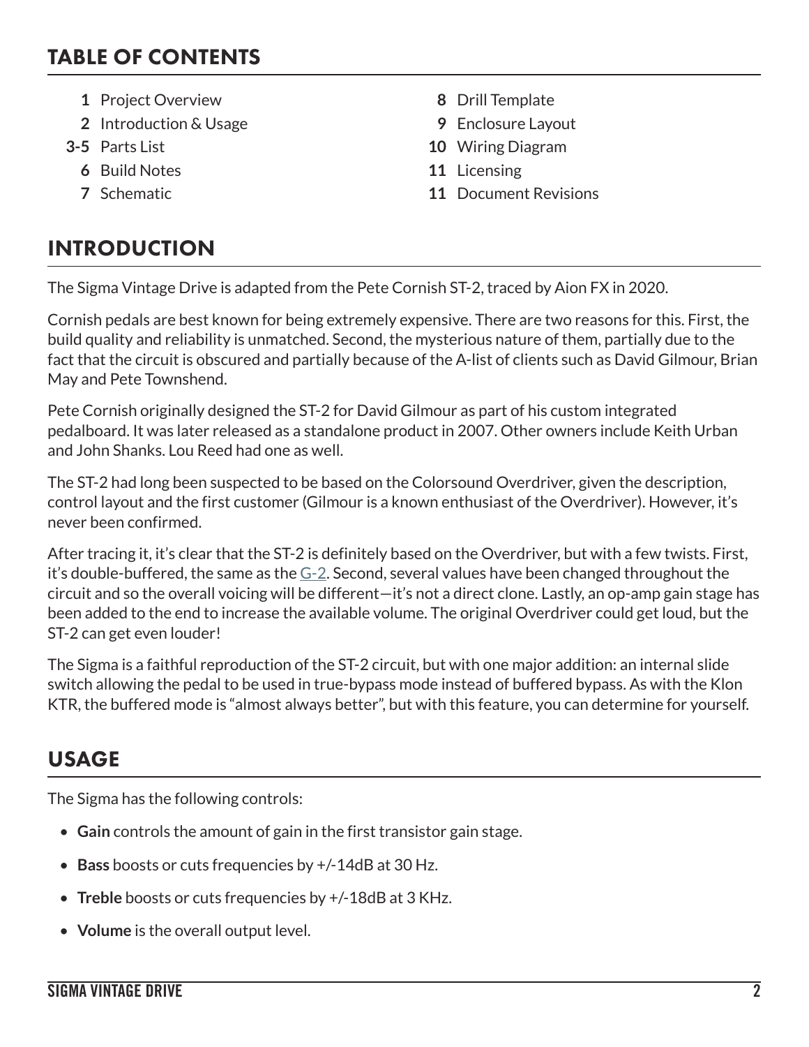### TABLE OF CONTENTS

- **1** Project Overview **8** Drill Template
- **2** Introduction & Usage **9** Enclosure Layout
- - **6** Build Notes **11** Licensing
	-
- 
- 
- **3-5** Parts List **10** Wiring Diagram
	-
	- **7** Schematic **11** Document Revisions

### INTRODUCTION

The Sigma Vintage Drive is adapted from the Pete Cornish ST-2, traced by Aion FX in 2020.

Cornish pedals are best known for being extremely expensive. There are two reasons for this. First, the build quality and reliability is unmatched. Second, the mysterious nature of them, partially due to the fact that the circuit is obscured and partially because of the A-list of clients such as David Gilmour, Brian May and Pete Townshend.

Pete Cornish originally designed the ST-2 for David Gilmour as part of his custom integrated pedalboard. It was later released as a standalone product in 2007. Other owners include Keith Urban and John Shanks. Lou Reed had one as well.

The ST-2 had long been suspected to be based on the Colorsound Overdriver, given the description, control layout and the first customer (Gilmour is a known enthusiast of the Overdriver). However, it's never been confirmed.

After tracing it, it's clear that the ST-2 is definitely based on the Overdriver, but with a few twists. First, it's double-buffered, the same as the  $G-2$ . Second, several values have been changed throughout the circuit and so the overall voicing will be different—it's not a direct clone. Lastly, an op-amp gain stage has been added to the end to increase the available volume. The original Overdriver could get loud, but the ST-2 can get even louder!

The Sigma is a faithful reproduction of the ST-2 circuit, but with one major addition: an internal slide switch allowing the pedal to be used in true-bypass mode instead of buffered bypass. As with the Klon KTR, the buffered mode is "almost always better", but with this feature, you can determine for yourself.

### USAGE

The Sigma has the following controls:

- **Gain** controls the amount of gain in the first transistor gain stage.
- **Bass** boosts or cuts frequencies by +/-14dB at 30 Hz.
- **Treble** boosts or cuts frequencies by +/-18dB at 3 KHz.
- **Volume** is the overall output level.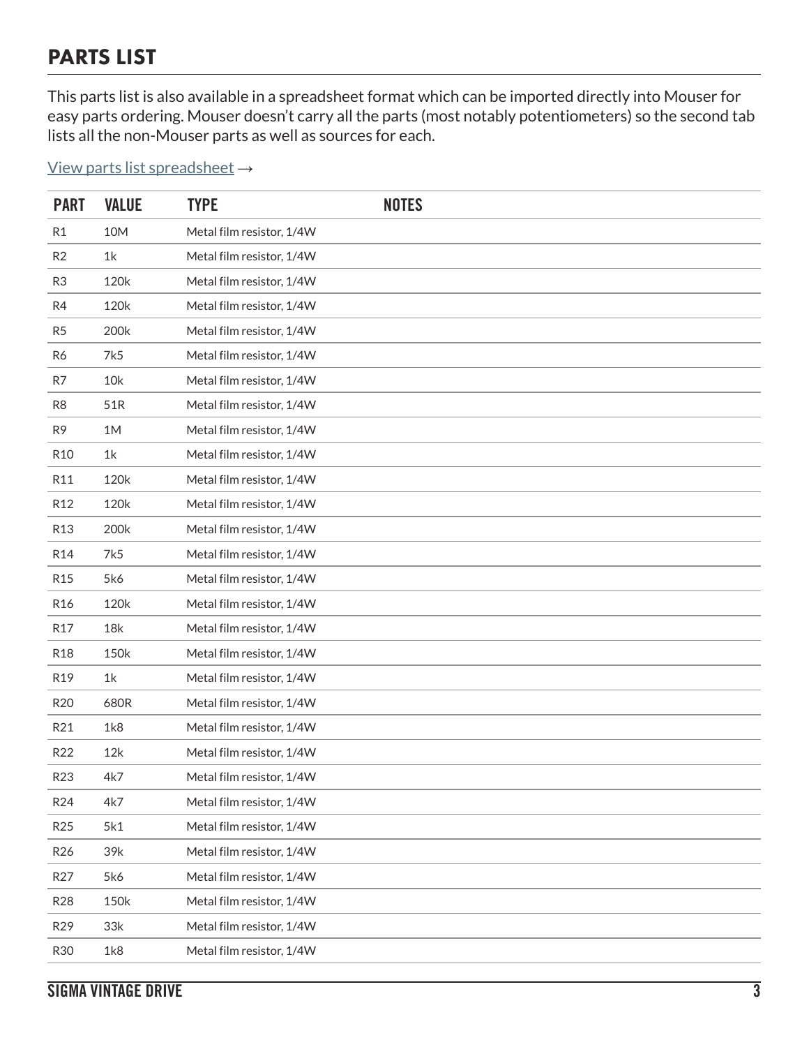### PARTS LIST

This parts list is also available in a spreadsheet format which can be imported directly into Mouser for easy parts ordering. Mouser doesn't carry all the parts (most notably potentiometers) so the second tab lists all the non-Mouser parts as well as sources for each.

[View parts list spreadsheet](https://docs.google.com/spreadsheets/d/1JMO0bW3_9NixuXZ78NuxAocGUV0bm0P6QgYzZuBN8Fo/edit?usp=sharing) →

| <b>PART</b>     | <b>VALUE</b> | <b>TYPE</b>               | <b>NOTES</b> |
|-----------------|--------------|---------------------------|--------------|
| R <sub>1</sub>  | 10M          | Metal film resistor, 1/4W |              |
| R2              | 1k           | Metal film resistor, 1/4W |              |
| R <sub>3</sub>  | 120k         | Metal film resistor, 1/4W |              |
| R4              | 120k         | Metal film resistor, 1/4W |              |
| R <sub>5</sub>  | 200k         | Metal film resistor, 1/4W |              |
| R6              | 7k5          | Metal film resistor, 1/4W |              |
| R7              | 10k          | Metal film resistor, 1/4W |              |
| R <sub>8</sub>  | 51R          | Metal film resistor, 1/4W |              |
| R <sub>9</sub>  | 1M           | Metal film resistor, 1/4W |              |
| R <sub>10</sub> | 1k           | Metal film resistor, 1/4W |              |
| R11             | 120k         | Metal film resistor, 1/4W |              |
| R <sub>12</sub> | 120k         | Metal film resistor, 1/4W |              |
| R <sub>13</sub> | 200k         | Metal film resistor, 1/4W |              |
| R14             | 7k5          | Metal film resistor, 1/4W |              |
| R <sub>15</sub> | 5k6          | Metal film resistor, 1/4W |              |
| R <sub>16</sub> | 120k         | Metal film resistor, 1/4W |              |
| R <sub>17</sub> | 18k          | Metal film resistor, 1/4W |              |
| <b>R18</b>      | 150k         | Metal film resistor, 1/4W |              |
| R19             | 1k           | Metal film resistor, 1/4W |              |
| R <sub>20</sub> | 680R         | Metal film resistor, 1/4W |              |
| R21             | 1k8          | Metal film resistor, 1/4W |              |
| R22             | 12k          | Metal film resistor, 1/4W |              |
| R23             | 4k7          | Metal film resistor, 1/4W |              |
| R24             | 4k7          | Metal film resistor, 1/4W |              |
| R <sub>25</sub> | 5k1          | Metal film resistor, 1/4W |              |
| R <sub>26</sub> | 39k          | Metal film resistor, 1/4W |              |
| R <sub>27</sub> | 5k6          | Metal film resistor, 1/4W |              |
| <b>R28</b>      | 150k         | Metal film resistor, 1/4W |              |
| R29             | 33k          | Metal film resistor, 1/4W |              |
| <b>R30</b>      | 1k8          | Metal film resistor, 1/4W |              |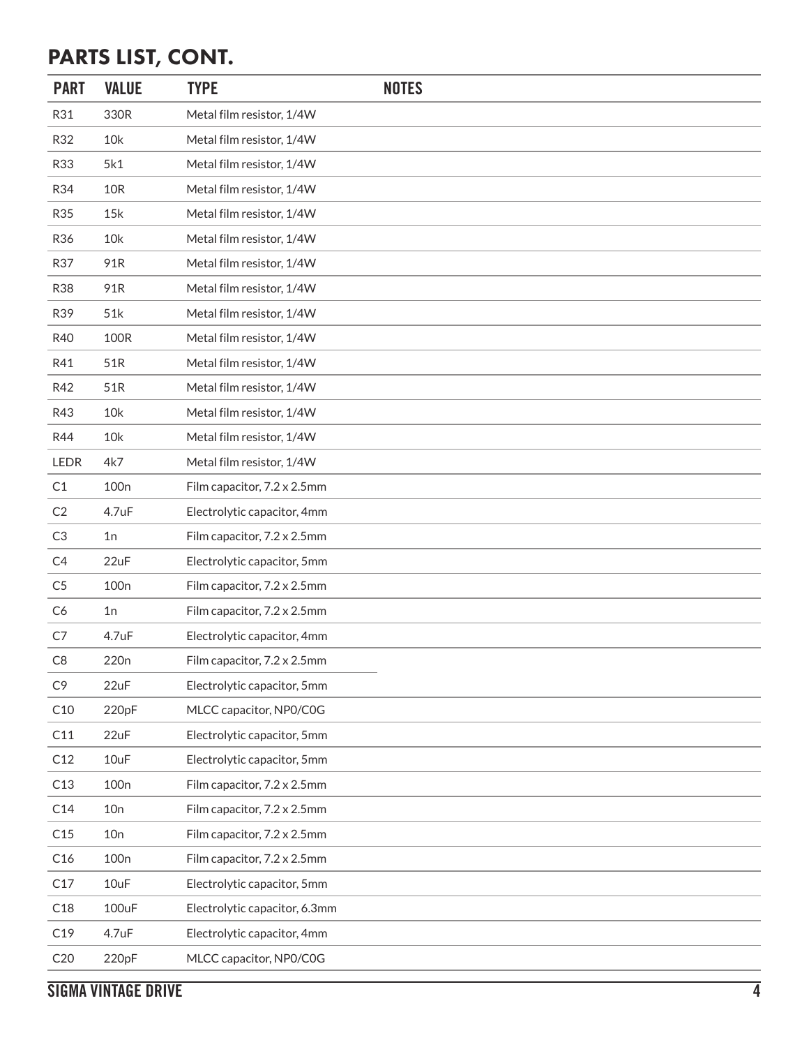### PARTS LIST, CONT.

| <b>PART</b>    | <b>VALUE</b>     | <b>TYPE</b>                   | <b>NOTES</b> |
|----------------|------------------|-------------------------------|--------------|
| R31            | 330R             | Metal film resistor, 1/4W     |              |
| R32            | 10k              | Metal film resistor, 1/4W     |              |
| R33            | 5k1              | Metal film resistor, 1/4W     |              |
| R34            | <b>10R</b>       | Metal film resistor, 1/4W     |              |
| <b>R35</b>     | 15k              | Metal film resistor, 1/4W     |              |
| R36            | 10k              | Metal film resistor, 1/4W     |              |
| R37            | 91R              | Metal film resistor, 1/4W     |              |
| <b>R38</b>     | 91R              | Metal film resistor, 1/4W     |              |
| R39            | 51k              | Metal film resistor, 1/4W     |              |
| R40            | 100R             | Metal film resistor, 1/4W     |              |
| R41            | 51R              | Metal film resistor, 1/4W     |              |
| R42            | 51R              | Metal film resistor, 1/4W     |              |
| R43            | 10k              | Metal film resistor, 1/4W     |              |
| R44            | 10k              | Metal film resistor, 1/4W     |              |
| LEDR           | 4k7              | Metal film resistor, 1/4W     |              |
| C1             | 100 <sub>n</sub> | Film capacitor, 7.2 x 2.5mm   |              |
| C <sub>2</sub> | 4.7uF            | Electrolytic capacitor, 4mm   |              |
| C3             | 1n               | Film capacitor, 7.2 x 2.5mm   |              |
| C <sub>4</sub> | 22uF             | Electrolytic capacitor, 5mm   |              |
| C <sub>5</sub> | 100 <sub>n</sub> | Film capacitor, 7.2 x 2.5mm   |              |
| C <sub>6</sub> | 1n               | Film capacitor, 7.2 x 2.5mm   |              |
| C7             | 4.7uF            | Electrolytic capacitor, 4mm   |              |
| C8             | 220 <sub>n</sub> | Film capacitor, 7.2 x 2.5mm   |              |
| C <sub>9</sub> | 22uF             | Electrolytic capacitor, 5mm   |              |
| C10            | 220pF            | MLCC capacitor, NP0/C0G       |              |
| C11            | 22uF             | Electrolytic capacitor, 5mm   |              |
| C12            | 10uF             | Electrolytic capacitor, 5mm   |              |
| C13            | 100 <sub>n</sub> | Film capacitor, 7.2 x 2.5mm   |              |
| C14            | 10n              | Film capacitor, 7.2 x 2.5mm   |              |
| C15            | 10n              | Film capacitor, 7.2 x 2.5mm   |              |
| C16            | 100 <sub>n</sub> | Film capacitor, 7.2 x 2.5mm   |              |
| C17            | 10uF             | Electrolytic capacitor, 5mm   |              |
| C18            | 100uF            | Electrolytic capacitor, 6.3mm |              |
| C19            | 4.7uF            | Electrolytic capacitor, 4mm   |              |
| C20            | 220pF            | MLCC capacitor, NP0/C0G       |              |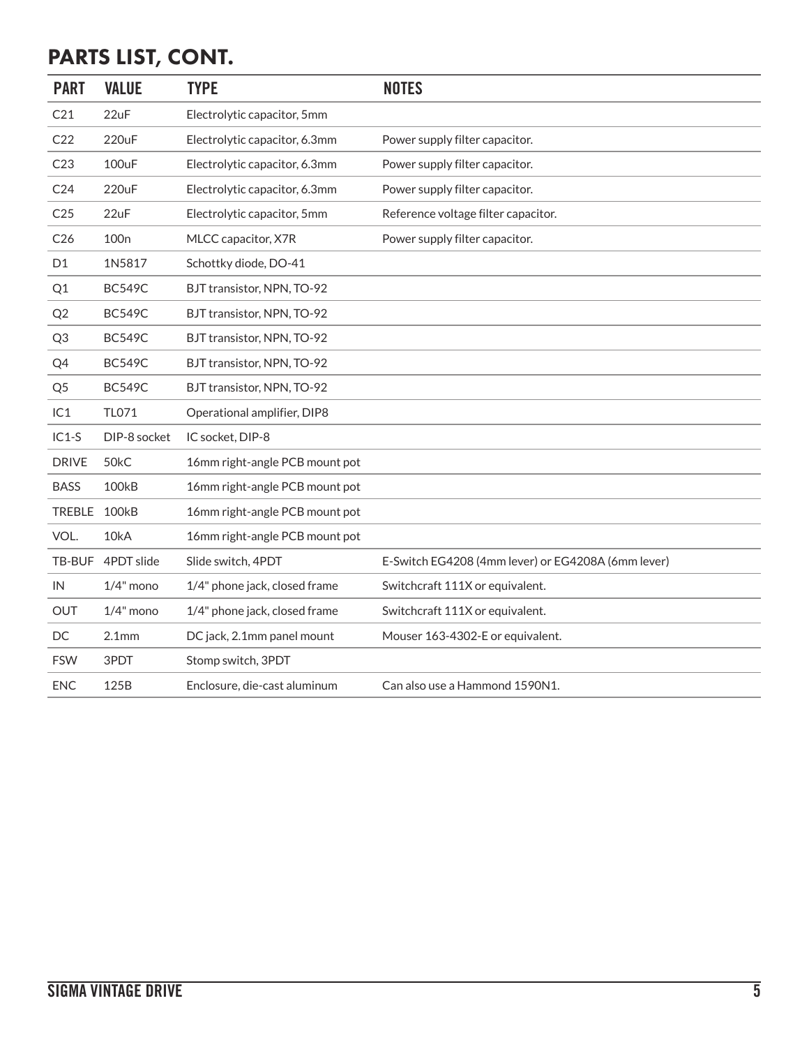## PARTS LIST, CONT.

| <b>PART</b>     | <b>VALUE</b>      | <b>TYPE</b>                    | <b>NOTES</b>                                       |
|-----------------|-------------------|--------------------------------|----------------------------------------------------|
| C21             | 22uF              | Electrolytic capacitor, 5mm    |                                                    |
| C22             | 220uF             | Electrolytic capacitor, 6.3mm  | Power supply filter capacitor.                     |
| C23             | <b>100uF</b>      | Electrolytic capacitor, 6.3mm  | Power supply filter capacitor.                     |
| C <sub>24</sub> | 220uF             | Electrolytic capacitor, 6.3mm  | Power supply filter capacitor.                     |
| C <sub>25</sub> | 22uF              | Electrolytic capacitor, 5mm    | Reference voltage filter capacitor.                |
| C <sub>26</sub> | 100 <sub>n</sub>  | MLCC capacitor, X7R            | Power supply filter capacitor.                     |
| D <sub>1</sub>  | 1N5817            | Schottky diode, DO-41          |                                                    |
| Q1              | <b>BC549C</b>     | BJT transistor, NPN, TO-92     |                                                    |
| Q <sub>2</sub>  | <b>BC549C</b>     | BJT transistor, NPN, TO-92     |                                                    |
| Q <sub>3</sub>  | <b>BC549C</b>     | BJT transistor, NPN, TO-92     |                                                    |
| Q4              | <b>BC549C</b>     | BJT transistor, NPN, TO-92     |                                                    |
| Q <sub>5</sub>  | <b>BC549C</b>     | BJT transistor, NPN, TO-92     |                                                    |
| IC1             | TL071             | Operational amplifier, DIP8    |                                                    |
| $IC1-S$         | DIP-8 socket      | IC socket, DIP-8               |                                                    |
| <b>DRIVE</b>    | 50kC              | 16mm right-angle PCB mount pot |                                                    |
| <b>BASS</b>     | <b>100kB</b>      | 16mm right-angle PCB mount pot |                                                    |
| <b>TREBLE</b>   | <b>100kB</b>      | 16mm right-angle PCB mount pot |                                                    |
| VOL.            | 10kA              | 16mm right-angle PCB mount pot |                                                    |
| TB-BUF          | 4PDT slide        | Slide switch, 4PDT             | E-Switch EG4208 (4mm lever) or EG4208A (6mm lever) |
| IN              | $1/4"$ mono       | 1/4" phone jack, closed frame  | Switchcraft 111X or equivalent.                    |
| <b>OUT</b>      | $1/4"$ mono       | 1/4" phone jack, closed frame  | Switchcraft 111X or equivalent.                    |
| DC              | 2.1 <sub>mm</sub> | DC jack, 2.1mm panel mount     | Mouser 163-4302-E or equivalent.                   |
| <b>FSW</b>      | 3PDT              | Stomp switch, 3PDT             |                                                    |
| <b>ENC</b>      | 125B              | Enclosure, die-cast aluminum   | Can also use a Hammond 1590N1.                     |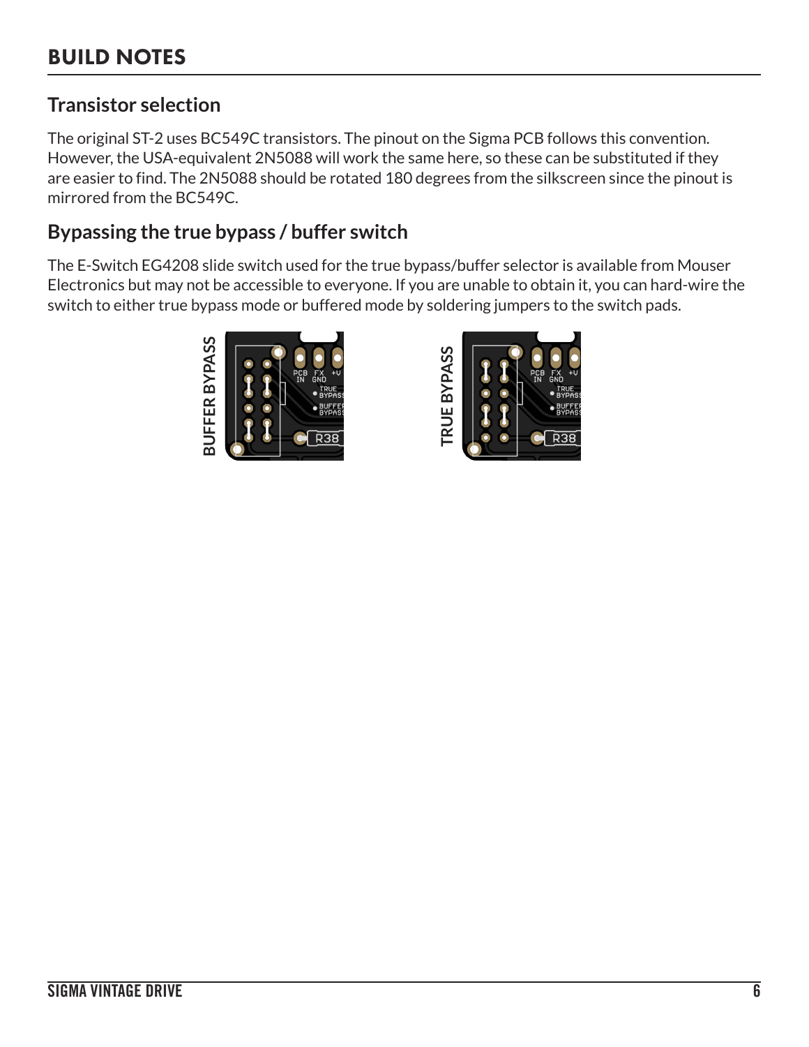### **Transistor selection**

The original ST-2 uses BC549C transistors. The pinout on the Sigma PCB follows this convention. However, the USA-equivalent 2N5088 will work the same here, so these can be substituted if they are easier to find. The 2N5088 should be rotated 180 degrees from the silkscreen since the pinout is mirrored from the BC549C.

### **Bypassing the true bypass / buffer switch**

The E-Switch EG4208 slide switch used for the true bypass/buffer selector is available from Mouser Electronics but may not be accessible to everyone. If you are unable to obtain it, you can hard-wire the switch to either true bypass mode or buffered mode by soldering jumpers to the switch pads.



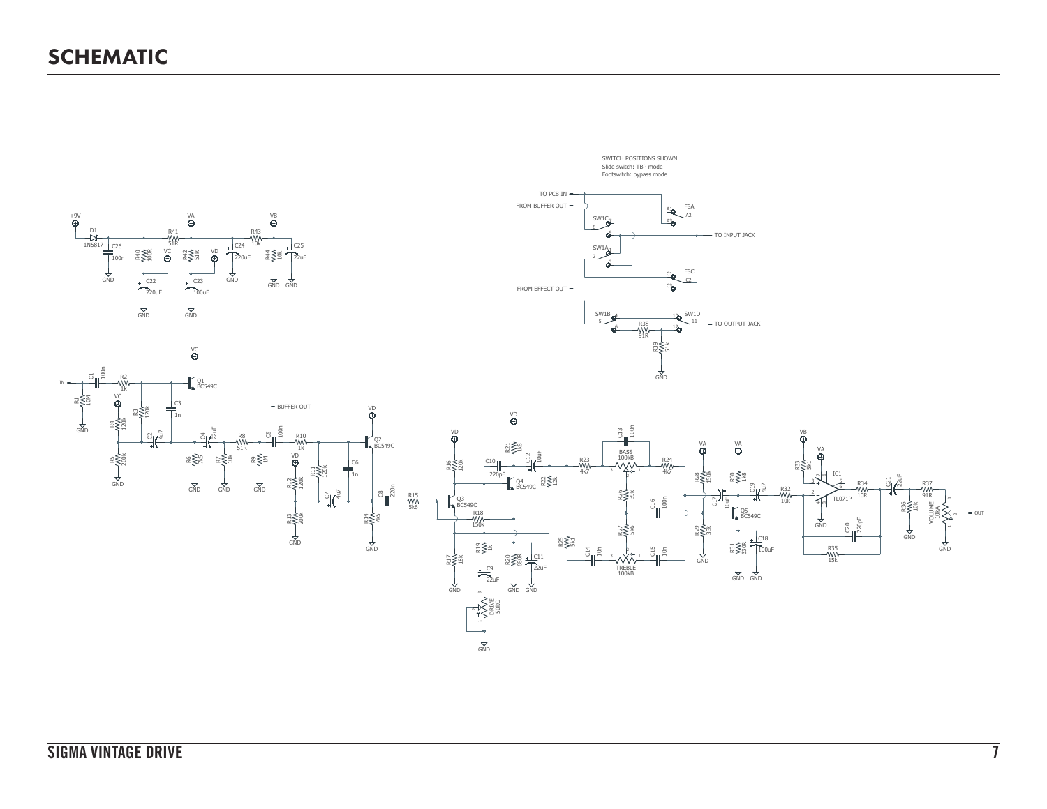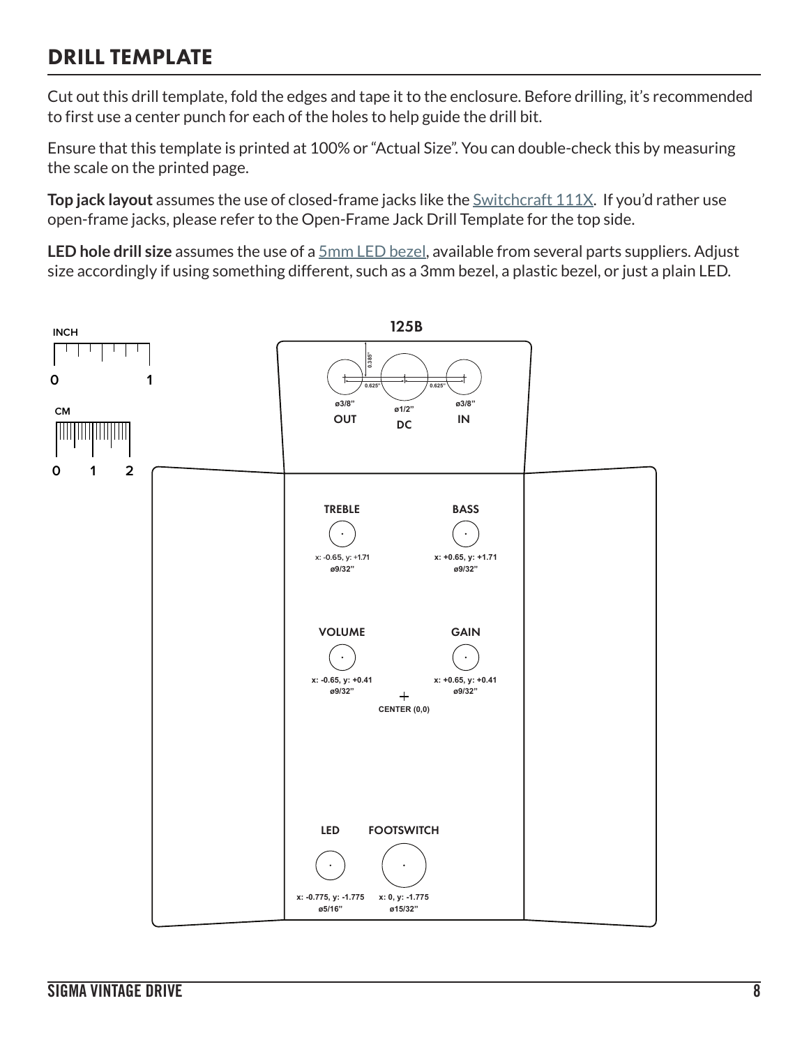### DRILL TEMPLATE

Cut out this drill template, fold the edges and tape it to the enclosure. Before drilling, it's recommended to first use a center punch for each of the holes to help guide the drill bit.

Ensure that this template is printed at 100% or "Actual Size". You can double-check this by measuring the scale on the printed page.

**Top jack layout** assumes the use of closed-frame jacks like the [Switchcraft 111X](https://aionelectronics.com/link/switchcraft-111/). If you'd rather use open-frame jacks, please refer to the Open-Frame Jack Drill Template for the top side.

**LED hole drill size** assumes the use of a [5mm LED bezel,](http://www.smallbear-electronics.mybigcommerce.com/bezel-5mm-chrome/) available from several parts suppliers. Adjust size accordingly if using something different, such as a 3mm bezel, a plastic bezel, or just a plain LED.

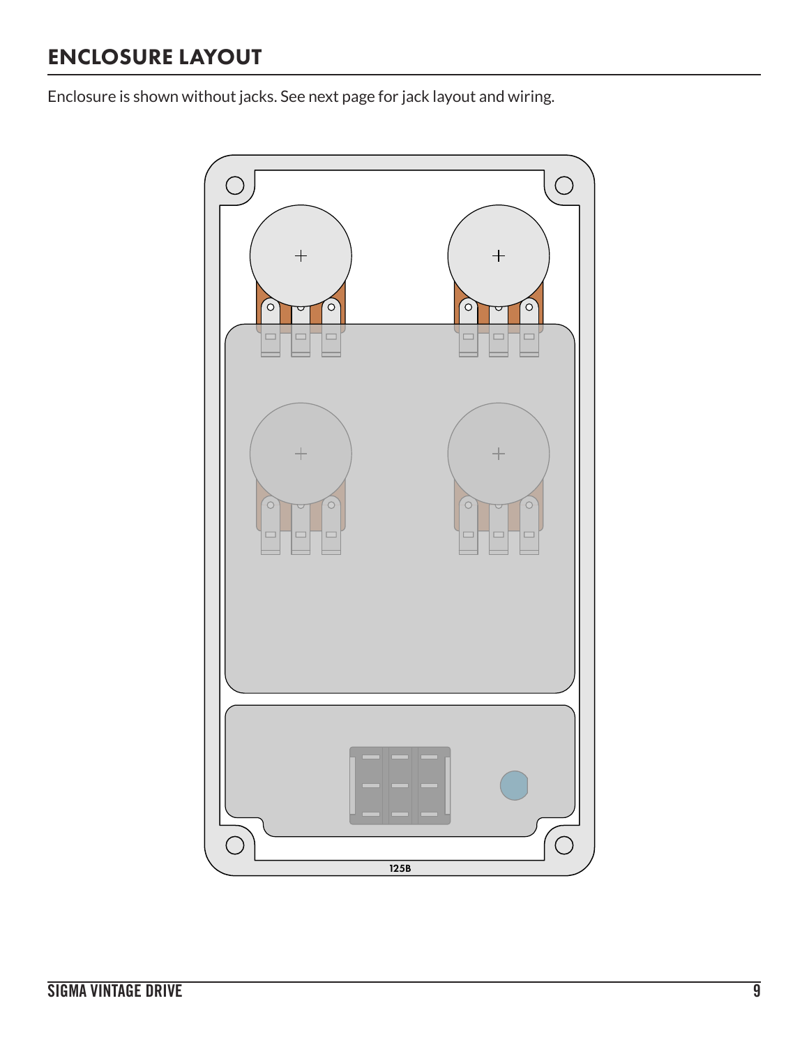### ENCLOSURE LAYOUT

Enclosure is shown without jacks. See next page for jack layout and wiring.

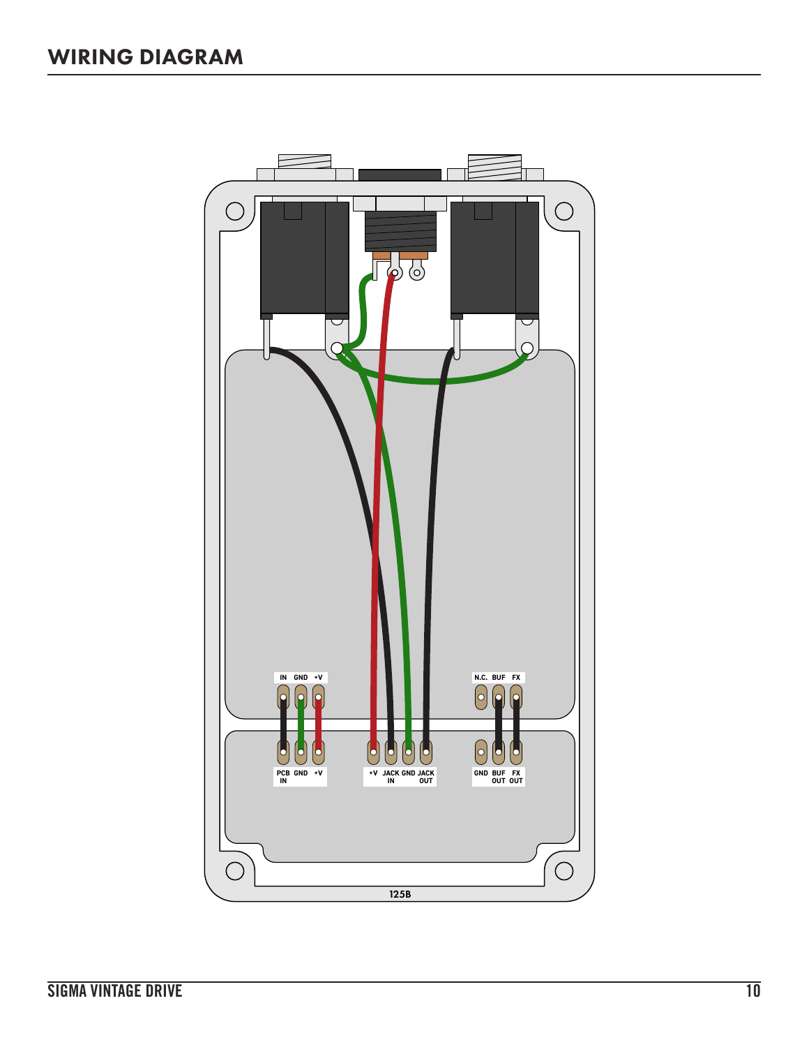